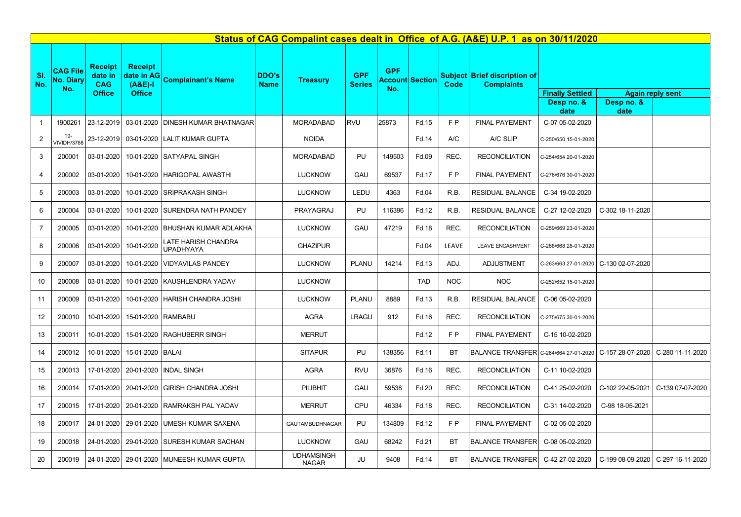| Status of CAG Compalint cases dealt in Office of A.G. (A&E) U.P. 1 as on 30/11/2020 |                                            |                                                          |                                                            |                                                  |                             |                                   |                             |                                             |            |                |                                                                         |                                              |                                         |                                     |
|-------------------------------------------------------------------------------------|--------------------------------------------|----------------------------------------------------------|------------------------------------------------------------|--------------------------------------------------|-----------------------------|-----------------------------------|-----------------------------|---------------------------------------------|------------|----------------|-------------------------------------------------------------------------|----------------------------------------------|-----------------------------------------|-------------------------------------|
| SI.<br>No.                                                                          | <b>CAG File</b><br><b>No. Diary</b><br>No. | <b>Receipt</b><br>date in<br><b>CAG</b><br><b>Office</b> | <b>Receipt</b><br>date in AG<br>$(A&E)-I$<br><b>Office</b> | <b>Complainant's Name</b>                        | <b>DDO's</b><br><b>Name</b> | <b>Treasury</b>                   | <b>GPF</b><br><b>Series</b> | <b>GPF</b><br><b>Account Section</b><br>No. |            | Code           | <b>Subject Brief discription of</b><br><b>Complaints</b>                | <b>Finally Settled</b><br>Desp no. &<br>date | Desp no. &<br>date                      | <b>Again reply sent</b>             |
| $\mathbf{1}$                                                                        | 1900261                                    |                                                          |                                                            | 23-12-2019   03-01-2020   DINESH KUMAR BHATNAGAR |                             | <b>MORADABAD</b>                  | <b>RVU</b>                  | 25873                                       | Fd.15      | F <sub>P</sub> | <b>FINAL PAYEMENT</b>                                                   | C-07 05-02-2020                              |                                         |                                     |
| $\overline{2}$                                                                      | 19-<br><b>VIVIDH/3788</b>                  |                                                          |                                                            | 23-12-2019 03-01-2020 LALIT KUMAR GUPTA          |                             | <b>NOIDA</b>                      |                             |                                             | Fd.14      | A/C            | A/C SLIP                                                                | C-250/650 15-01-2020                         |                                         |                                     |
| 3                                                                                   | 200001                                     | $03-01-2020$                                             |                                                            | 10-01-2020 SATYAPAL SINGH                        |                             | <b>MORADABAD</b>                  | PU                          | 149503                                      | Fd.09      | REC.           | <b>RECONCILIATION</b>                                                   | C-254/654 20-01-2020                         |                                         |                                     |
| $\overline{4}$                                                                      | 200002                                     |                                                          |                                                            | 03-01-2020 10-01-2020 HARIGOPAL AWASTHI          |                             | <b>LUCKNOW</b>                    | GAU                         | 69537                                       | Fd.17      | F <sub>P</sub> | <b>FINAL PAYEMENT</b>                                                   | C-276/676 30-01-2020                         |                                         |                                     |
| $5\phantom{.0}$                                                                     | 200003                                     | $03-01-2020$                                             |                                                            | 10-01-2020 SRIPRAKASH SINGH                      |                             | <b>LUCKNOW</b>                    | LEDU                        | 4363                                        | Fd.04      | R.B.           | <b>RESIDUAL BALANCE</b>                                                 | C-34 19-02-2020                              |                                         |                                     |
| $6\phantom{.}6$                                                                     | 200004                                     | 03-01-2020                                               |                                                            | 10-01-2020 SURENDRA NATH PANDEY                  |                             | PRAYAGRAJ                         | PU                          | 116396                                      | Fd.12      | R.B.           | <b>RESIDUAL BALANCE</b>                                                 | C-27 12-02-2020                              | C-302 18-11-2020                        |                                     |
| $\overline{7}$                                                                      | 200005                                     | $03-01-2020$                                             |                                                            | 10-01-2020 BHUSHAN KUMAR ADLAKHA                 |                             | <b>LUCKNOW</b>                    | <b>GAU</b>                  | 47219                                       | Fd.18      | REC.           | <b>RECONCILIATION</b>                                                   | C-259/669 23-01-2020                         |                                         |                                     |
| 8                                                                                   | 200006                                     | 03-01-2020                                               | 10-01-2020                                                 | <b>LATE HARISH CHANDRA</b><br>UPADHYAYA          |                             | <b>GHAZIPUR</b>                   |                             |                                             | Fd.04      | <b>LEAVE</b>   | <b>LEAVE ENCASHMENT</b>                                                 | C-268/668 28-01-2020                         |                                         |                                     |
| 9                                                                                   | 200007                                     | 03-01-2020                                               |                                                            | 10-01-2020   VIDYAVILAS PANDEY                   |                             | <b>LUCKNOW</b>                    | <b>PLANU</b>                | 14214                                       | Fd.13      | ADJ.           | <b>ADJUSTMENT</b>                                                       |                                              | C-263/663 27-01-2020   C-130 02-07-2020 |                                     |
| 10 <sup>°</sup>                                                                     | 200008                                     | $03-01-2020$                                             |                                                            | 10-01-2020 KAUSHLENDRA YADAV                     |                             | <b>LUCKNOW</b>                    |                             |                                             | <b>TAD</b> | <b>NOC</b>     | <b>NOC</b>                                                              | C-252/652 15-01-2020                         |                                         |                                     |
| 11                                                                                  | 200009                                     |                                                          |                                                            | 03-01-2020   10-01-2020   HARISH CHANDRA JOSHI   |                             | <b>LUCKNOW</b>                    | <b>PLANU</b>                | 8889                                        | Fd.13      | R.B.           | <b>RESIDUAL BALANCE</b>                                                 | C-06 05-02-2020                              |                                         |                                     |
| 12                                                                                  | 200010                                     | 10-01-2020                                               |                                                            | 15-01-2020 RAMBABU                               |                             | <b>AGRA</b>                       | <b>LRAGU</b>                | 912                                         | Fd.16      | REC.           | <b>RECONCILIATION</b>                                                   | C-275/675 30-01-2020                         |                                         |                                     |
| 13                                                                                  | 200011                                     |                                                          |                                                            | 10-01-2020   15-01-2020   RAGHUBERR SINGH        |                             | <b>MERRUT</b>                     |                             |                                             | Fd.12      | F P            | <b>FINAL PAYEMENT</b>                                                   | C-15 10-02-2020                              |                                         |                                     |
| 14                                                                                  | 200012                                     |                                                          | 10-01-2020 15-01-2020 BALAI                                |                                                  |                             | <b>SITAPUR</b>                    | PU                          | 138356                                      | Fd.11      | <b>BT</b>      | BALANCE TRANSFER C-264/664 27-01-2020 C-157 28-07-2020 C-280 11-11-2020 |                                              |                                         |                                     |
| 15                                                                                  | 200013                                     |                                                          |                                                            | 17-01-2020   20-01-2020   INDAL SINGH            |                             | <b>AGRA</b>                       | <b>RVU</b>                  | 36876                                       | Fd.16      | REC.           | <b>RECONCILIATION</b>                                                   | C-11 10-02-2020                              |                                         |                                     |
| 16                                                                                  | 200014                                     |                                                          |                                                            | 17-01-2020   20-01-2020 GIRISH CHANDRA JOSHI     |                             | <b>PILIBHIT</b>                   | GAU                         | 59538                                       | Fd.20      | REC.           | <b>RECONCILIATION</b>                                                   | C-41 25-02-2020                              |                                         | C-102 22-05-2021   C-139 07-07-2020 |
| 17                                                                                  | 200015                                     |                                                          |                                                            | 17-01-2020   20-01-2020   RAMRAKSH PAL YADAV     |                             | <b>MERRUT</b>                     | CPU                         | 46334                                       | Fd.18      | REC.           | <b>RECONCILIATION</b>                                                   | C-31 14-02-2020                              | C-98 18-05-2021                         |                                     |
| 18                                                                                  | 200017                                     |                                                          |                                                            | 24-01-2020   29-01-2020   UMESH KUMAR SAXENA     |                             | GAUTAMBUDHNAGAR                   | PU                          | 134809                                      | Fd.12      | F P            | <b>FINAL PAYEMENT</b>                                                   | C-02 05-02-2020                              |                                         |                                     |
| 19                                                                                  | 200018                                     |                                                          |                                                            | 24-01-2020   29-01-2020   SURESH KUMAR SACHAN    |                             | <b>LUCKNOW</b>                    | <b>GAU</b>                  | 68242                                       | Fd.21      | <b>BT</b>      | <b>BALANCE TRANSFER</b>                                                 | C-08 05-02-2020                              |                                         |                                     |
| 20                                                                                  | 200019                                     |                                                          |                                                            | 24-01-2020   29-01-2020   MUNEESH KUMAR GUPTA    |                             | <b>UDHAMSINGH</b><br><b>NAGAR</b> | JU                          | 9408                                        | Fd.14      | <b>BT</b>      | <b>BALANCE TRANSFER</b>                                                 | C-42 27-02-2020                              |                                         | C-199 08-09-2020   C-297 16-11-2020 |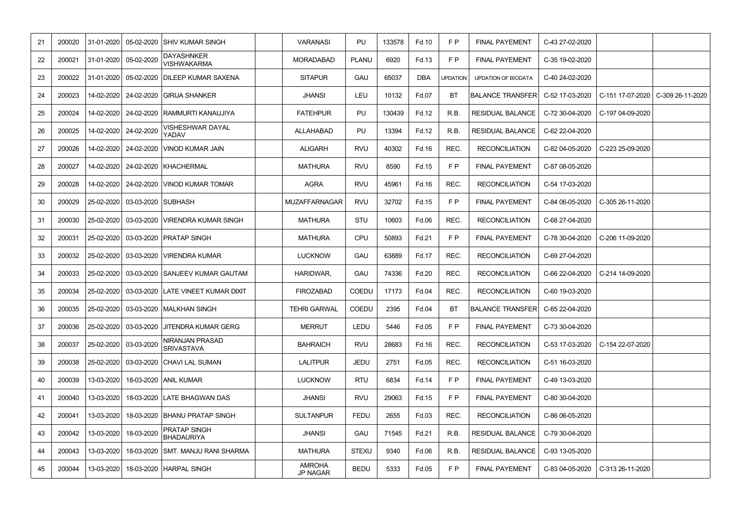| 21 | 200020 | $31 - 01 - 2020$ |                    | 05-02-2020 SHIV KUMAR SINGH                 | <b>VARANASI</b>                  | PU           | 133578 | Fd.10      | F P             | <b>FINAL PAYEMENT</b>      | C-43 27-02-2020 |                                     |
|----|--------|------------------|--------------------|---------------------------------------------|----------------------------------|--------------|--------|------------|-----------------|----------------------------|-----------------|-------------------------------------|
| 22 | 200021 | 31-01-2020       | 05-02-2020         | <b>DAYASHNKER</b><br><b>VISHWAKARMA</b>     | <b>MORADABAD</b>                 | <b>PLANU</b> | 6920   | Fd.13      | F P             | <b>FINAL PAYEMENT</b>      | C-35 19-02-2020 |                                     |
| 23 | 200022 | 31-01-2020       |                    | 05-02-2020 DILEEP KUMAR SAXENA              | <b>SITAPUR</b>                   | <b>GAU</b>   | 65037  | <b>DBA</b> | <b>UPDATION</b> | <b>UPDATION OF BIODATA</b> | C-40 24-02-2020 |                                     |
| 24 | 200023 | 14-02-2020       |                    | 24-02-2020 GIRIJA SHANKER                   | <b>JHANSI</b>                    | LEU          | 10132  | Fd.07      | BT              | <b>BALANCE TRANSFER</b>    | C-52 17-03-2020 | C-151 17-07-2020   C-309 26-11-2020 |
| 25 | 200024 | 14-02-2020       | 24-02-2020         | <b>RAMMURTI KANAUJIYA</b>                   | <b>FATEHPUR</b>                  | PU           | 130439 | Fd.12      | R.B.            | <b>RESIDUAL BALANCE</b>    | C-72 30-04-2020 | C-197 04-09-2020                    |
| 26 | 200025 | 14-02-2020       | 24-02-2020         | <b>VISHESHWAR DAYAL</b><br>YADAV            | <b>ALLAHABAD</b>                 | PU           | 13394  | Fd.12      | R.B.            | <b>RESIDUAL BALANCE</b>    | C-62 22-04-2020 |                                     |
| 27 | 200026 | 14-02-2020       |                    | 24-02-2020 VINOD KUMAR JAIN                 | <b>ALIGARH</b>                   | <b>RVU</b>   | 40302  | Fd.16      | REC.            | <b>RECONCILIATION</b>      | C-82 04-05-2020 | C-223 25-09-2020                    |
| 28 | 200027 | 14-02-2020       | 24-02-2020         | KHACHERMAL                                  | <b>MATHURA</b>                   | <b>RVU</b>   | 8590   | Fd.15      | F P             | <b>FINAL PAYEMENT</b>      | C-87 08-05-2020 |                                     |
| 29 | 200028 | 14-02-2020       |                    | 24-02-2020 VINOD KUMAR TOMAR                | <b>AGRA</b>                      | <b>RVU</b>   | 45961  | Fd.16      | REC.            | <b>RECONCILIATION</b>      | C-54 17-03-2020 |                                     |
| 30 | 200029 | 25-02-2020       | 03-03-2020 SUBHASH |                                             | <b>MUZAFFARNAGAR</b>             | <b>RVU</b>   | 32702  | Fd.15      | F P             | <b>FINAL PAYEMENT</b>      | C-84 06-05-2020 | C-305 26-11-2020                    |
| 31 | 200030 | 25-02-2020       |                    | 03-03-2020   VIRENDRA KUMAR SINGH           | <b>MATHURA</b>                   | <b>STU</b>   | 10603  | Fd.06      | REC.            | <b>RECONCILIATION</b>      | C-68 27-04-2020 |                                     |
| 32 | 200031 | 25-02-2020       |                    | 03-03-2020 PRATAP SINGH                     | <b>MATHURA</b>                   | CPU          | 50893  | Fd.21      | F P             | <b>FINAL PAYEMENT</b>      | C-78 30-04-2020 | C-206 11-09-2020                    |
| 33 | 200032 | 25-02-2020       | 03-03-2020         | <b>VIRENDRA KUMAR</b>                       | <b>LUCKNOW</b>                   | GAU          | 63889  | Fd.17      | REC.            | <b>RECONCILIATION</b>      | C-69 27-04-2020 |                                     |
| 34 | 200033 | 25-02-2020       |                    | 03-03-2020 SANJEEV KUMAR GAUTAM             | HARIDWAR,                        | GAU          | 74336  | Fd.20      | REC.            | <b>RECONCILIATION</b>      | C-66 22-04-2020 | C-214 14-09-2020                    |
| 35 | 200034 | 25-02-2020       |                    | 03-03-2020 LATE VINEET KUMAR DIXIT          | <b>FIROZABAD</b>                 | <b>COEDU</b> | 17173  | Fd.04      | REC.            | <b>RECONCILIATION</b>      | C-60 19-03-2020 |                                     |
| 36 |        |                  |                    | 200035 25-02-2020 03-03-2020 MALKHAN SINGH  | <b>TEHRI GARWAL</b>              | COEDU        | 2395   | Fd.04      | <b>BT</b>       | <b>BALANCE TRANSFER</b>    | C-65 22-04-2020 |                                     |
| 37 | 200036 | 25-02-2020       |                    | 03-03-2020 JJITENDRA KUMAR GERG             | <b>MERRUT</b>                    | LEDU         | 5446   | Fd.05      | F P             | <b>FINAL PAYEMENT</b>      | C-73 30-04-2020 |                                     |
| 38 | 200037 | 25-02-2020       | 03-03-2020         | <b>NIRANJAN PRASAD</b><br><b>SRIVASTAVA</b> | <b>BAHRAICH</b>                  | <b>RVU</b>   | 28683  | Fd.16      | REC.            | <b>RECONCILIATION</b>      | C-53 17-03-2020 | C-154 22-07-2020                    |
| 39 | 200038 | 25-02-2020       |                    | 03-03-2020 CHAVI LAL SUMAN                  | <b>LALITPUR</b>                  | <b>JEDU</b>  | 2751   | Fd.05      | REC.            | <b>RECONCILIATION</b>      | C-51 16-03-2020 |                                     |
| 40 | 200039 | 13-03-2020       |                    | 18-03-2020 ANIL KUMAR                       | <b>LUCKNOW</b>                   | <b>RTU</b>   | 6834   | Fd.14      | F P             | <b>FINAL PAYEMENT</b>      | C-49 13-03-2020 |                                     |
| 41 | 200040 | 13-03-2020       |                    | 18-03-2020 LATE BHAGWAN DAS                 | <b>JHANSI</b>                    | <b>RVU</b>   | 29063  | Fd.15      | F P             | <b>FINAL PAYEMENT</b>      | C-80 30-04-2020 |                                     |
| 42 | 200041 | 13-03-2020       |                    | 18-03-2020 BHANU PRATAP SINGH               | <b>SULTANPUR</b>                 | <b>FEDU</b>  | 2655   | Fd.03      | REC.            | <b>RECONCILIATION</b>      | C-86 06-05-2020 |                                     |
| 43 | 200042 | 13-03-2020       | 18-03-2020         | <b>PRATAP SINGH</b><br><b>BHADAURIYA</b>    | <b>JHANSI</b>                    | GAU          | 71545  | Fd.21      | R.B.            | <b>RESIDUAL BALANCE</b>    | C-79 30-04-2020 |                                     |
| 44 | 200043 | 13-03-2020       |                    | 18-03-2020 SMT. MANJU RANI SHARMA           | <b>MATHURA</b>                   | <b>STEXU</b> | 9340   | Fd.06      | R.B.            | <b>RESIDUAL BALANCE</b>    | C-93 13-05-2020 |                                     |
| 45 | 200044 | 13-03-2020       |                    | 18-03-2020   HARPAL SINGH                   | <b>AMROHA</b><br><b>JP NAGAR</b> | <b>BEDU</b>  | 5333   | Fd.05      | F P             | <b>FINAL PAYEMENT</b>      | C-83 04-05-2020 | C-313 26-11-2020                    |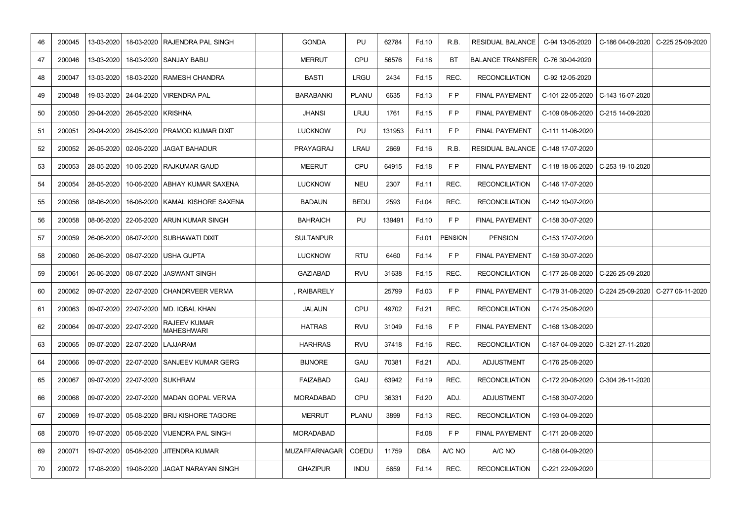| 46 | 200045 | 13-03-2020   |                                   | 18-03-2020 RAJENDRA PAL SINGH                 | <b>GONDA</b>     | PU           | 62784  | Fd.10      | R.B.    | <b>RESIDUAL BALANCE</b>                 | C-94 13-05-2020  | C-186 04-09-2020   C-225 25-09-2020                    |
|----|--------|--------------|-----------------------------------|-----------------------------------------------|------------------|--------------|--------|------------|---------|-----------------------------------------|------------------|--------------------------------------------------------|
| 47 | 200046 | 13-03-2020   |                                   | 18-03-2020 SANJAY BABU                        | <b>MERRUT</b>    | CPU          | 56576  | Fd.18      | BT      | <b>BALANCE TRANSFER</b>                 | C-76 30-04-2020  |                                                        |
| 48 | 200047 | 13-03-2020   |                                   | 18-03-2020 RAMESH CHANDRA                     | <b>BASTI</b>     | <b>LRGU</b>  | 2434   | Fd.15      | REC.    | <b>RECONCILIATION</b>                   | C-92 12-05-2020  |                                                        |
| 49 | 200048 | 19-03-2020   |                                   | 24-04-2020   VIRENDRA PAL                     | <b>BARABANKI</b> | <b>PLANU</b> | 6635   | Fd.13      | F P     | <b>FINAL PAYEMENT</b>                   |                  | C-101 22-05-2020   C-143 16-07-2020                    |
| 50 | 200050 |              | 29-04-2020   26-05-2020   KRISHNA |                                               | <b>JHANSI</b>    | <b>LRJU</b>  | 1761   | Fd.15      | F P     | <b>FINAL PAYEMENT</b>                   |                  | C-109 08-06-2020   C-215 14-09-2020                    |
| 51 | 200051 | 29-04-2020   |                                   | 28-05-2020 PRAMOD KUMAR DIXIT                 | <b>LUCKNOW</b>   | PU           | 131953 | Fd.11      | F P     | <b>FINAL PAYEMENT</b>                   | C-111 11-06-2020 |                                                        |
| 52 | 200052 |              |                                   | 26-05-2020   02-06-2020   JAGAT BAHADUR       | PRAYAGRAJ        | <b>LRAU</b>  | 2669   | Fd.16      | R.B.    | RESIDUAL BALANCE   C-148 17-07-2020     |                  |                                                        |
| 53 | 200053 | 28-05-2020   |                                   | 10-06-2020 RAJKUMAR GAUD                      | <b>MEERUT</b>    | <b>CPU</b>   | 64915  | Fd.18      | F P     | <b>FINAL PAYEMENT</b>                   |                  | C-118 18-06-2020   C-253 19-10-2020                    |
| 54 | 200054 | 28-05-2020   |                                   | 10-06-2020 ABHAY KUMAR SAXENA                 | <b>LUCKNOW</b>   | <b>NEU</b>   | 2307   | Fd.11      | REC.    | <b>RECONCILIATION</b>                   | C-146 17-07-2020 |                                                        |
| 55 | 200056 | 08-06-2020   |                                   | 16-06-2020 KAMAL KISHORE SAXENA               | <b>BADAUN</b>    | <b>BEDU</b>  | 2593   | Fd.04      | REC.    | <b>RECONCILIATION</b>                   | C-142 10-07-2020 |                                                        |
| 56 | 200058 | 08-06-2020   |                                   | 22-06-2020 ARUN KUMAR SINGH                   | <b>BAHRAICH</b>  | PU           | 139491 | Fd.10      | F P     | <b>FINAL PAYEMENT</b>                   | C-158 30-07-2020 |                                                        |
| 57 | 200059 |              |                                   | 26-06-2020   08-07-2020 SUBHAWATI DIXIT       | <b>SULTANPUR</b> |              |        | Fd.01      | PENSION | <b>PENSION</b>                          | C-153 17-07-2020 |                                                        |
| 58 | 200060 | 26-06-2020   |                                   | 08-07-2020 USHA GUPTA                         | <b>LUCKNOW</b>   | <b>RTU</b>   | 6460   | Fd.14      | F P     | <b>FINAL PAYEMENT</b>                   | C-159 30-07-2020 |                                                        |
| 59 | 200061 |              |                                   | 26-06-2020   08-07-2020   JASWANT SINGH       | <b>GAZIABAD</b>  | <b>RVU</b>   | 31638  | Fd.15      | REC.    | <b>RECONCILIATION</b>                   |                  | C-177 26-08-2020   C-226 25-09-2020                    |
| 60 | 200062 |              |                                   | 09-07-2020   22-07-2020   CHANDRVEER VERMA    | , RAIBARELY      |              | 25799  | Fd.03      | F P     | <b>FINAL PAYEMENT</b>                   |                  | C-179 31-08-2020   C-224 25-09-2020   C-277 06-11-2020 |
| 61 |        |              |                                   | 200063 09-07-2020 22-07-2020 MD. IQBAL KHAN   | <b>JALAUN</b>    | CPU          | 49702  | Fd.21      | REC.    | RECONCILIATION $\vert$ C-174 25-08-2020 |                  |                                                        |
| 62 | 200064 |              | 09-07-2020   22-07-2020           | <b>RAJEEV KUMAR</b><br><b>MAHESHWARI</b>      | <b>HATRAS</b>    | <b>RVU</b>   | 31049  | Fd.16      | F P     | <b>FINAL PAYEMENT</b>                   | C-168 13-08-2020 |                                                        |
| 63 | 200065 | $09-07-2020$ | 22-07-2020 LAJJARAM               |                                               | <b>HARHRAS</b>   | <b>RVU</b>   | 37418  | Fd.16      | REC.    | <b>RECONCILIATION</b>                   |                  | C-187 04-09-2020   C-321 27-11-2020                    |
| 64 | 200066 | $09-07-2020$ |                                   | 22-07-2020 SANJEEV KUMAR GERG                 | <b>BIJNORE</b>   | <b>GAU</b>   | 70381  | Fd.21      | ADJ.    | <b>ADJUSTMENT</b>                       | C-176 25-08-2020 |                                                        |
| 65 | 200067 |              | 09-07-2020   22-07-2020 SUKHRAM   |                                               | FAIZABAD         | GAU          | 63942  | Fd.19      | REC.    | <b>RECONCILIATION</b>                   |                  | C-172 20-08-2020   C-304 26-11-2020                    |
| 66 | 200068 | $09-07-2020$ |                                   | 22-07-2020   MADAN GOPAL VERMA                | <b>MORADABAD</b> | <b>CPU</b>   | 36331  | Fd.20      | ADJ.    | <b>ADJUSTMENT</b>                       | C-158 30-07-2020 |                                                        |
| 67 | 200069 |              |                                   | 19-07-2020   05-08-2020   BRIJ KISHORE TAGORE | <b>MERRUT</b>    | <b>PLANU</b> | 3899   | Fd.13      | REC.    | <b>RECONCILIATION</b>                   | C-193 04-09-2020 |                                                        |
| 68 | 200070 |              |                                   | 19-07-2020   05-08-2020   VIJENDRA PAL SINGH  | <b>MORADABAD</b> |              |        | Fd.08      | F P     | <b>FINAL PAYEMENT</b>                   | C-171 20-08-2020 |                                                        |
| 69 | 200071 |              |                                   | 19-07-2020   05-08-2020   JITENDRA KUMAR      | MUZAFFARNAGAR    | <b>COEDU</b> | 11759  | <b>DBA</b> | A/C NO  | A/C NO                                  | C-188 04-09-2020 |                                                        |
| 70 | 200072 | 17-08-2020   |                                   | 19-08-2020 JAGAT NARAYAN SINGH                | <b>GHAZIPUR</b>  | <b>INDU</b>  | 5659   | Fd.14      | REC.    | <b>RECONCILIATION</b>                   | C-221 22-09-2020 |                                                        |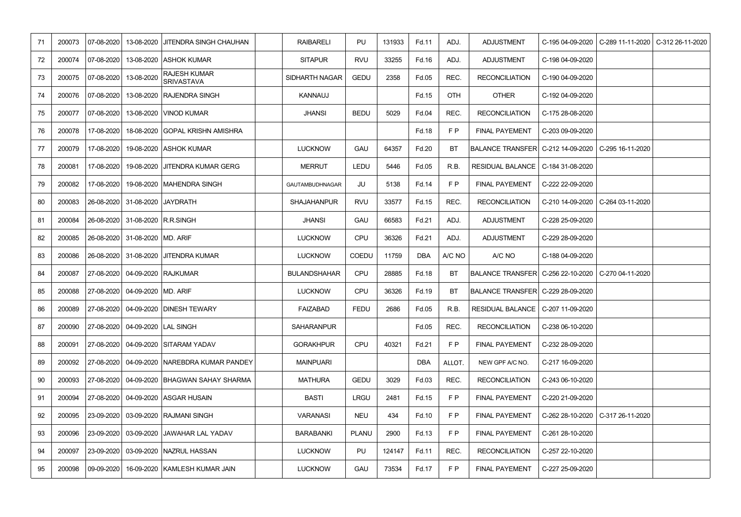| 71 | 200073 | 07-08-2020       |                                    | 13-08-2020 JITENDRA SINGH CHAUHAN              | <b>RAIBARELI</b>       | PU           | 131933 | Fd.11      | ADJ.      | <b>ADJUSTMENT</b>                                      | C-195 04-09-2020 | C-289 11-11-2020   C-312 26-11-2020 |
|----|--------|------------------|------------------------------------|------------------------------------------------|------------------------|--------------|--------|------------|-----------|--------------------------------------------------------|------------------|-------------------------------------|
| 72 | 200074 | 07-08-2020       |                                    | 13-08-2020 ASHOK KUMAR                         | <b>SITAPUR</b>         | <b>RVU</b>   | 33255  | Fd.16      | ADJ.      | <b>ADJUSTMENT</b>                                      | C-198 04-09-2020 |                                     |
| 73 | 200075 | $07 - 08 - 2020$ | 13-08-2020                         | <b>RAJESH KUMAR</b><br><b>SRIVASTAVA</b>       | <b>SIDHARTH NAGAR</b>  | <b>GEDU</b>  | 2358   | Fd.05      | REC.      | <b>RECONCILIATION</b>                                  | C-190 04-09-2020 |                                     |
| 74 | 200076 | $07 - 08 - 2020$ |                                    | 13-08-2020 RAJENDRA SINGH                      | <b>KANNAUJ</b>         |              |        | Fd.15      | OTH       | <b>OTHER</b>                                           | C-192 04-09-2020 |                                     |
| 75 | 200077 | 07-08-2020       |                                    | 13-08-2020 VINOD KUMAR                         | <b>JHANSI</b>          | <b>BEDU</b>  | 5029   | Fd.04      | REC.      | <b>RECONCILIATION</b>                                  | C-175 28-08-2020 |                                     |
| 76 | 200078 | 17-08-2020       |                                    | 18-08-2020 GOPAL KRISHN AMISHRA                |                        |              |        | Fd.18      | F P       | <b>FINAL PAYEMENT</b>                                  | C-203 09-09-2020 |                                     |
| 77 | 200079 | 17-08-2020       |                                    | 19-08-2020 ASHOK KUMAR                         | <b>LUCKNOW</b>         | <b>GAU</b>   | 64357  | Fd.20      | BT        | BALANCE TRANSFER  C-212 14-09-2020   C-295 16-11-2020  |                  |                                     |
| 78 | 200081 | 17-08-2020       |                                    | 19-08-2020 JITENDRA KUMAR GERG                 | <b>MERRUT</b>          | LEDU         | 5446   | Fd.05      | R.B.      | <b>RESIDUAL BALANCE</b>                                | C-184 31-08-2020 |                                     |
| 79 | 200082 | 17-08-2020       |                                    | 19-08-2020   MAHENDRA SINGH                    | <b>GAUTAMBUDHNAGAR</b> | JU           | 5138   | Fd.14      | F P       | <b>FINAL PAYEMENT</b>                                  | C-222 22-09-2020 |                                     |
| 80 | 200083 |                  | 26-08-2020 31-08-2020 JAYDRATH     |                                                | <b>SHAJAHANPUR</b>     | <b>RVU</b>   | 33577  | Fd.15      | REC.      | <b>RECONCILIATION</b>                                  |                  | C-210 14-09-2020   C-264 03-11-2020 |
| 81 | 200084 |                  | 26-08-2020 31-08-2020 R.R.SINGH    |                                                | <b>JHANSI</b>          | GAU          | 66583  | Fd.21      | ADJ.      | <b>ADJUSTMENT</b>                                      | C-228 25-09-2020 |                                     |
| 82 | 200085 |                  | 26-08-2020 31-08-2020 MD. ARIF     |                                                | <b>LUCKNOW</b>         | CPU          | 36326  | Fd.21      | ADJ.      | <b>ADJUSTMENT</b>                                      | C-229 28-09-2020 |                                     |
| 83 | 200086 |                  |                                    | 26-08-2020 31-08-2020 JITENDRA KUMAR           | <b>LUCKNOW</b>         | <b>COEDU</b> | 11759  | <b>DBA</b> | A/C NO    | A/C NO                                                 | C-188 04-09-2020 |                                     |
| 84 | 200087 |                  |                                    | 27-08-2020   04-09-2020 RAJKUMAR               | <b>BULANDSHAHAR</b>    | CPU          | 28885  | Fd.18      | BT        | BALANCE TRANSFER   C-256 22-10-2020   C-270 04-11-2020 |                  |                                     |
| 85 | 200088 |                  | 27-08-2020   04-09-2020  MD. ARIF  |                                                | <b>LUCKNOW</b>         | <b>CPU</b>   | 36326  | Fd.19      | <b>BT</b> | BALANCE TRANSFER   C-229 28-09-2020                    |                  |                                     |
| 86 |        |                  |                                    | 200089 27-08-2020 04-09-2020 DINESH TEWARY     | <b>FAIZABAD</b>        | <b>FEDU</b>  | 2686   | Fd.05      | R.B.      | RESIDUAL BALANCE   C-207 11-09-2020                    |                  |                                     |
| 87 | 200090 |                  | 27-08-2020   04-09-2020  LAL SINGH |                                                | <b>SAHARANPUR</b>      |              |        | Fd.05      | REC.      | <b>RECONCILIATION</b>                                  | C-238 06-10-2020 |                                     |
| 88 | 200091 |                  |                                    | 27-08-2020   04-09-2020 SITARAM YADAV          | <b>GORAKHPUR</b>       | CPU          | 40321  | Fd.21      | F P       | <b>FINAL PAYEMENT</b>                                  | C-232 28-09-2020 |                                     |
| 89 | 200092 |                  |                                    | 27-08-2020   04-09-2020  NAREBDRA KUMAR PANDEY | <b>MAINPUARI</b>       |              |        | <b>DBA</b> | ALLOT.    | NEW GPF A/C NO.                                        | C-217 16-09-2020 |                                     |
| 90 | 200093 |                  |                                    | 27-08-2020   04-09-2020   BHAGWAN SAHAY SHARMA | <b>MATHURA</b>         | <b>GEDU</b>  | 3029   | Fd.03      | REC.      | <b>RECONCILIATION</b>                                  | C-243 06-10-2020 |                                     |
| 91 | 200094 |                  |                                    | 27-08-2020   04-09-2020   ASGAR HUSAIN         | <b>BASTI</b>           | <b>LRGU</b>  | 2481   | Fd.15      | F P       | <b>FINAL PAYEMENT</b>                                  | C-220 21-09-2020 |                                     |
| 92 | 200095 |                  |                                    | 23-09-2020   03-09-2020   RAJMANI SINGH        | <b>VARANASI</b>        | <b>NEU</b>   | 434    | Fd.10      | F P       | <b>FINAL PAYEMENT</b>                                  |                  | C-262 28-10-2020   C-317 26-11-2020 |
| 93 | 200096 |                  |                                    | 23-09-2020   03-09-2020  JAWAHAR LAL YADAV     | <b>BARABANKI</b>       | <b>PLANU</b> | 2900   | Fd.13      | F P       | <b>FINAL PAYEMENT</b>                                  | C-261 28-10-2020 |                                     |
| 94 | 200097 | 23-09-2020       |                                    | 03-09-2020   NAZRUL HASSAN                     | <b>LUCKNOW</b>         | PU           | 124147 | Fd.11      | REC.      | <b>RECONCILIATION</b>                                  | C-257 22-10-2020 |                                     |
| 95 | 200098 | 09-09-2020       |                                    | 16-09-2020 KAMLESH KUMAR JAIN                  | <b>LUCKNOW</b>         | GAU          | 73534  | Fd.17      | F P       | <b>FINAL PAYEMENT</b>                                  | C-227 25-09-2020 |                                     |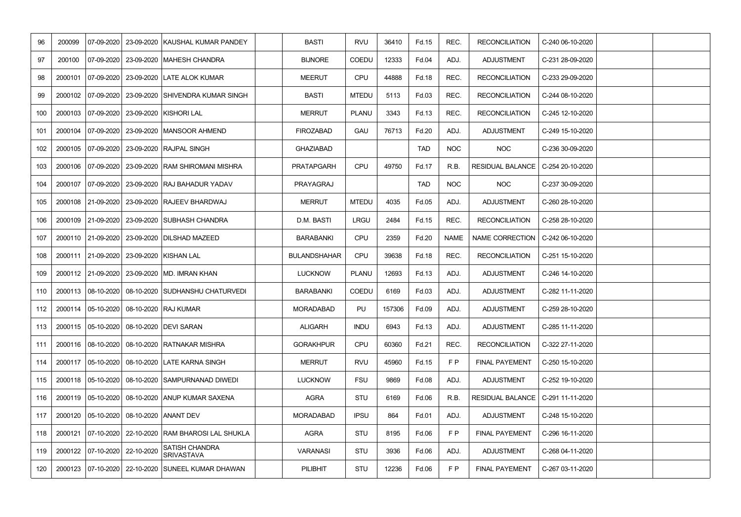| 96  | 200099 | 07-09-2020                    | 23-09-2020 | <b>KAUSHAL KUMAR PANDEY</b>                               | <b>BASTI</b>        | <b>RVU</b>   | 36410  | Fd.15        | REC.        | <b>RECONCILIATION</b>   | C-240 06-10-2020 |  |
|-----|--------|-------------------------------|------------|-----------------------------------------------------------|---------------------|--------------|--------|--------------|-------------|-------------------------|------------------|--|
| 97  | 200100 |                               |            | 07-09-2020   23-09-2020  MAHESH CHANDRA                   | <b>BIJNORE</b>      | <b>COEDU</b> | 12333  | Fd.04        | ADJ.        | <b>ADJUSTMENT</b>       | C-231 28-09-2020 |  |
| 98  |        |                               |            | 2000101   07-09-2020   23-09-2020   LATE ALOK KUMAR       | <b>MEERUT</b>       | <b>CPU</b>   | 44888  | Fd.18        | REC.        | <b>RECONCILIATION</b>   | C-233 29-09-2020 |  |
| 99  |        |                               |            | 2000102   07-09-2020   23-09-2020   SHIVENDRA KUMAR SINGH | <b>BASTI</b>        | <b>MTEDU</b> | 5113   | Fd.03        | REC.        | <b>RECONCILIATION</b>   | C-244 08-10-2020 |  |
| 100 |        |                               |            | 2000103   07-09-2020   23-09-2020   KISHORI LAL           | <b>MERRUT</b>       | <b>PLANU</b> | 3343   | <b>Fd.13</b> | REC.        | <b>RECONCILIATION</b>   | C-245 12-10-2020 |  |
| 101 |        |                               |            | 2000104   07-09-2020   23-09-2020   MANSOOR AHMEND        | <b>FIROZABAD</b>    | <b>GAU</b>   | 76713  | Fd.20        | ADJ.        | <b>ADJUSTMENT</b>       | C-249 15-10-2020 |  |
| 102 |        |                               |            | 2000105   07-09-2020   23-09-2020   RAJPAL SINGH          | <b>GHAZIABAD</b>    |              |        | <b>TAD</b>   | <b>NOC</b>  | <b>NOC</b>              | C-236 30-09-2020 |  |
| 103 |        |                               |            | 2000106   07-09-2020   23-09-2020   RAM SHIROMANI MISHRA  | <b>PRATAPGARH</b>   | CPU          | 49750  | Fd.17        | R.B.        | <b>RESIDUAL BALANCE</b> | C-254 20-10-2020 |  |
| 104 |        |                               |            | 2000107   07-09-2020   23-09-2020   RAJ BAHADUR YADAV     | PRAYAGRAJ           |              |        | <b>TAD</b>   | <b>NOC</b>  | <b>NOC</b>              | C-237 30-09-2020 |  |
| 105 |        |                               |            | 2000108 21-09-2020 23-09-2020 RAJEEV BHARDWAJ             | <b>MERRUT</b>       | <b>MTEDU</b> | 4035   | Fd.05        | ADJ.        | <b>ADJUSTMENT</b>       | C-260 28-10-2020 |  |
| 106 |        |                               |            | 2000109 21-09-2020 23-09-2020 SUBHASH CHANDRA             | D.M. BASTI          | <b>LRGU</b>  | 2484   | <b>Fd.15</b> | REC.        | <b>RECONCILIATION</b>   | C-258 28-10-2020 |  |
| 107 |        |                               |            | 2000110   21-09-2020   23-09-2020   DILSHAD MAZEED        | <b>BARABANKI</b>    | <b>CPU</b>   | 2359   | Fd.20        | <b>NAME</b> | NAME CORRECTION         | C-242 06-10-2020 |  |
| 108 |        |                               |            | 2000111 21-09-2020 23-09-2020 KISHAN LAL                  | <b>BULANDSHAHAR</b> | <b>CPU</b>   | 39638  | Fd.18        | REC.        | <b>RECONCILIATION</b>   | C-251 15-10-2020 |  |
| 109 |        |                               |            | 2000112 21-09-2020 23-09-2020 MD. IMRAN KHAN              | <b>LUCKNOW</b>      | <b>PLANU</b> | 12693  | <b>Fd.13</b> | ADJ.        | <b>ADJUSTMENT</b>       | C-246 14-10-2020 |  |
| 110 |        |                               |            | 2000113 08-10-2020 08-10-2020 SUDHANSHU CHATURVEDI        | <b>BARABANKI</b>    | <b>COEDU</b> | 6169   | Fd.03        | ADJ.        | <b>ADJUSTMENT</b>       | C-282 11-11-2020 |  |
| 112 |        |                               |            | 2000114 05-10-2020 08-10-2020 RAJ KUMAR                   | <b>MORADABAD</b>    | PU           | 157306 | Fd.09        | ADJ.        | <b>ADJUSTMENT</b>       | C-259 28-10-2020 |  |
| 113 |        |                               |            | 2000115   05-10-2020   08-10-2020   DEVI SARAN            | <b>ALIGARH</b>      | <b>INDU</b>  | 6943   | Fd.13        | ADJ.        | <b>ADJUSTMENT</b>       | C-285 11-11-2020 |  |
| 111 |        |                               |            | 2000116   08-10-2020   08-10-2020   RATNAKAR MISHRA       | <b>GORAKHPUR</b>    | <b>CPU</b>   | 60360  | Fd.21        | REC.        | <b>RECONCILIATION</b>   | C-322 27-11-2020 |  |
| 114 |        |                               |            | 2000117   05-10-2020   08-10-2020 LATE KARNA SINGH        | <b>MERRUT</b>       | RVU          | 45960  | <b>Fd.15</b> | F P         | <b>FINAL PAYEMENT</b>   | C-250 15-10-2020 |  |
| 115 |        |                               |            | 2000118 05-10-2020 08-10-2020 SAMPURNANAD DIWEDI          | <b>LUCKNOW</b>      | <b>FSU</b>   | 9869   | Fd.08        | ADJ.        | <b>ADJUSTMENT</b>       | C-252 19-10-2020 |  |
| 116 |        |                               |            | 2000119 05-10-2020 08-10-2020 ANUP KUMAR SAXENA           | <b>AGRA</b>         | <b>STU</b>   | 6169   | Fd.06        | R.B.        | <b>RESIDUAL BALANCE</b> | C-291 11-11-2020 |  |
| 117 |        |                               |            | 2000120 05-10-2020 08-10-2020 ANANT DEV                   | <b>MORADABAD</b>    | <b>IPSU</b>  | 864    | Fd.01        | ADJ.        | <b>ADJUSTMENT</b>       | C-248 15-10-2020 |  |
| 118 |        |                               |            | 2000121 07-10-2020 22-10-2020 RAM BHAROSI LAL SHUKLA      | <b>AGRA</b>         | <b>STU</b>   | 8195   | Fd.06        | F P         | <b>FINAL PAYEMENT</b>   | C-296 16-11-2020 |  |
| 119 |        | 2000122 07-10-2020 22-10-2020 |            | <b>SATISH CHANDRA</b><br>SRIVASTAVA                       | <b>VARANASI</b>     | <b>STU</b>   | 3936   | Fd.06        | ADJ.        | <b>ADJUSTMENT</b>       | C-268 04-11-2020 |  |
| 120 |        |                               |            | 2000123   07-10-2020   22-10-2020   SUNEEL KUMAR DHAWAN   | <b>PILIBHIT</b>     | <b>STU</b>   | 12236  | Fd.06        | F P         | <b>FINAL PAYEMENT</b>   | C-267 03-11-2020 |  |